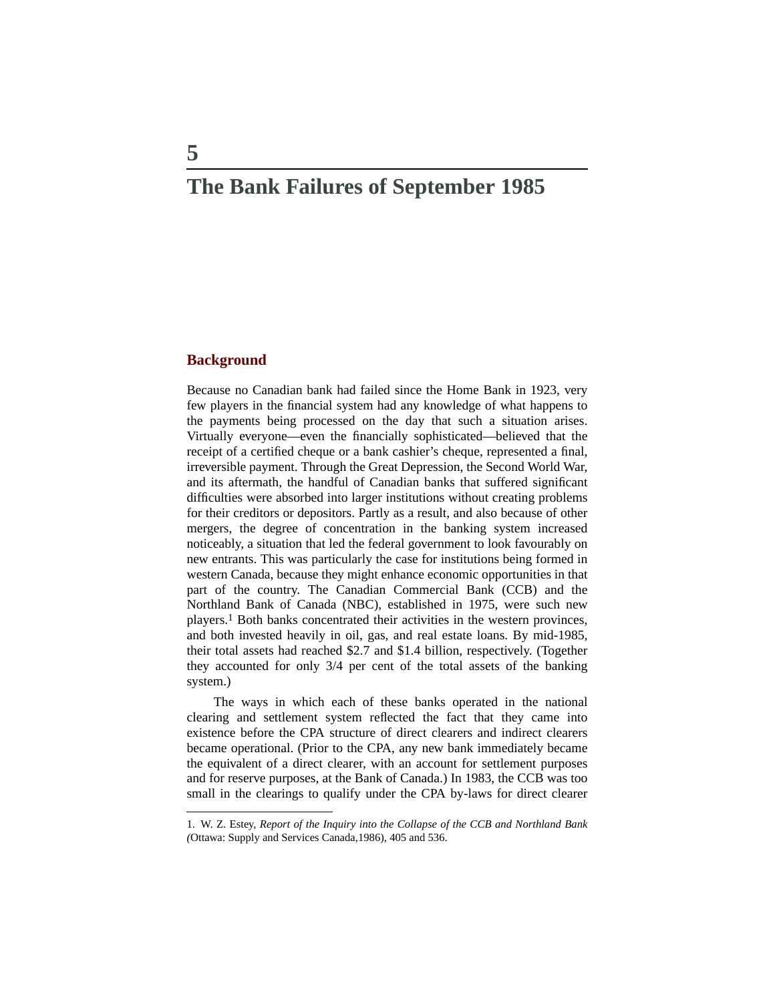# **The Bank Failures of September 1985**

#### **Background**

Because no Canadian bank had failed since the Home Bank in 1923, very few players in the financial system had any knowledge of what happens to the payments being processed on the day that such a situation arises. Virtually everyone—even the financially sophisticated—believed that the receipt of a certified cheque or a bank cashier's cheque, represented a final, irreversible payment. Through the Great Depression, the Second World War, and its aftermath, the handful of Canadian banks that suffered significant difficulties were absorbed into larger institutions without creating problems for their creditors or depositors. Partly as a result, and also because of other mergers, the degree of concentration in the banking system increased noticeably, a situation that led the federal government to look favourably on new entrants. This was particularly the case for institutions being formed in western Canada, because they might enhance economic opportunities in that part of the country. The Canadian Commercial Bank (CCB) and the Northland Bank of Canada (NBC), established in 1975, were such new players.1 Both banks concentrated their activities in the western provinces, and both invested heavily in oil, gas, and real estate loans. By mid-1985, their total assets had reached \$2.7 and \$1.4 billion, respectively. (Together they accounted for only 3/4 per cent of the total assets of the banking system.)

The ways in which each of these banks operated in the national clearing and settlement system reflected the fact that they came into existence before the CPA structure of direct clearers and indirect clearers became operational. (Prior to the CPA, any new bank immediately became the equivalent of a direct clearer, with an account for settlement purposes and for reserve purposes, at the Bank of Canada.) In 1983, the CCB was too small in the clearings to qualify under the CPA by-laws for direct clearer

<sup>1.</sup> W. Z. Estey, *Report of the Inquiry into the Collapse of the CCB and Northland Bank (*Ottawa: Supply and Services Canada,1986), 405 and 536.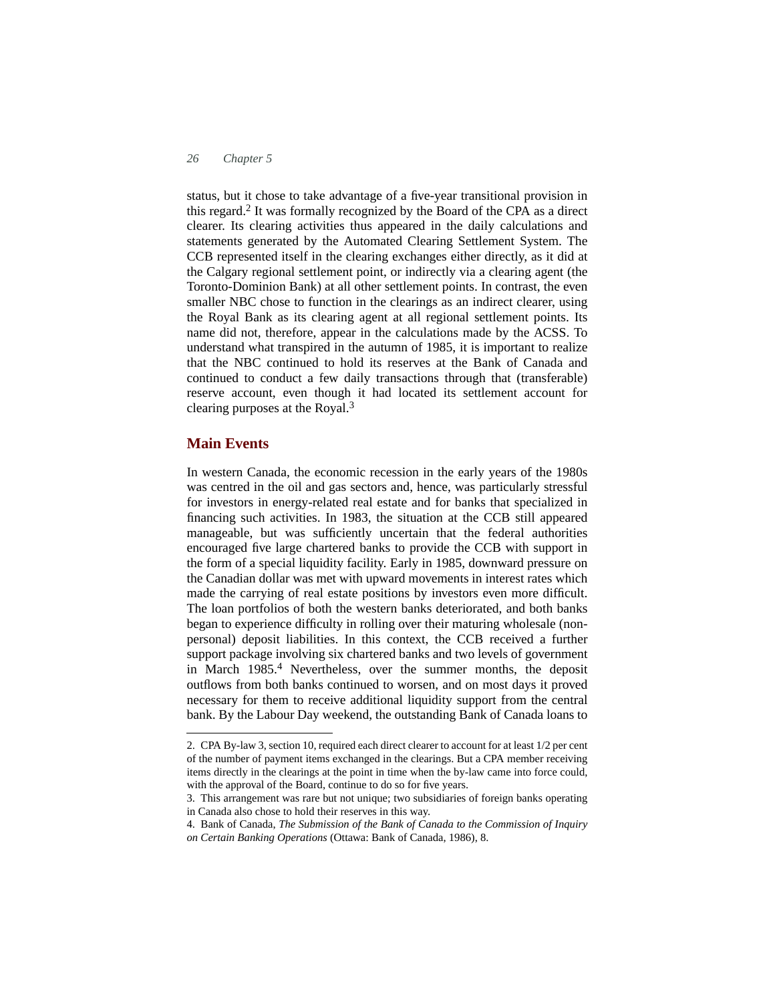status, but it chose to take advantage of a five-year transitional provision in this regard.<sup>2</sup> It was formally recognized by the Board of the CPA as a direct clearer. Its clearing activities thus appeared in the daily calculations and statements generated by the Automated Clearing Settlement System. The CCB represented itself in the clearing exchanges either directly, as it did at the Calgary regional settlement point, or indirectly via a clearing agent (the Toronto-Dominion Bank) at all other settlement points. In contrast, the even smaller NBC chose to function in the clearings as an indirect clearer, using the Royal Bank as its clearing agent at all regional settlement points. Its name did not, therefore, appear in the calculations made by the ACSS. To understand what transpired in the autumn of 1985, it is important to realize that the NBC continued to hold its reserves at the Bank of Canada and continued to conduct a few daily transactions through that (transferable) reserve account, even though it had located its settlement account for clearing purposes at the Royal.<sup>3</sup>

### **Main Events**

In western Canada, the economic recession in the early years of the 1980s was centred in the oil and gas sectors and, hence, was particularly stressful for investors in energy-related real estate and for banks that specialized in financing such activities. In 1983, the situation at the CCB still appeared manageable, but was sufficiently uncertain that the federal authorities encouraged five large chartered banks to provide the CCB with support in the form of a special liquidity facility. Early in 1985, downward pressure on the Canadian dollar was met with upward movements in interest rates which made the carrying of real estate positions by investors even more difficult. The loan portfolios of both the western banks deteriorated, and both banks began to experience difficulty in rolling over their maturing wholesale (nonpersonal) deposit liabilities. In this context, the CCB received a further support package involving six chartered banks and two levels of government in March 1985.4 Nevertheless, over the summer months, the deposit outflows from both banks continued to worsen, and on most days it proved necessary for them to receive additional liquidity support from the central bank. By the Labour Day weekend, the outstanding Bank of Canada loans to

<sup>2.</sup> CPA By-law 3, section 10, required each direct clearer to account for at least 1/2 per cent of the number of payment items exchanged in the clearings. But a CPA member receiving items directly in the clearings at the point in time when the by-law came into force could, with the approval of the Board, continue to do so for five years.

<sup>3.</sup> This arrangement was rare but not unique; two subsidiaries of foreign banks operating in Canada also chose to hold their reserves in this way.

<sup>4.</sup> Bank of Canada, *The Submission of the Bank of Canada to the Commission of Inquiry on Certain Banking Operations* (Ottawa: Bank of Canada, 1986), 8.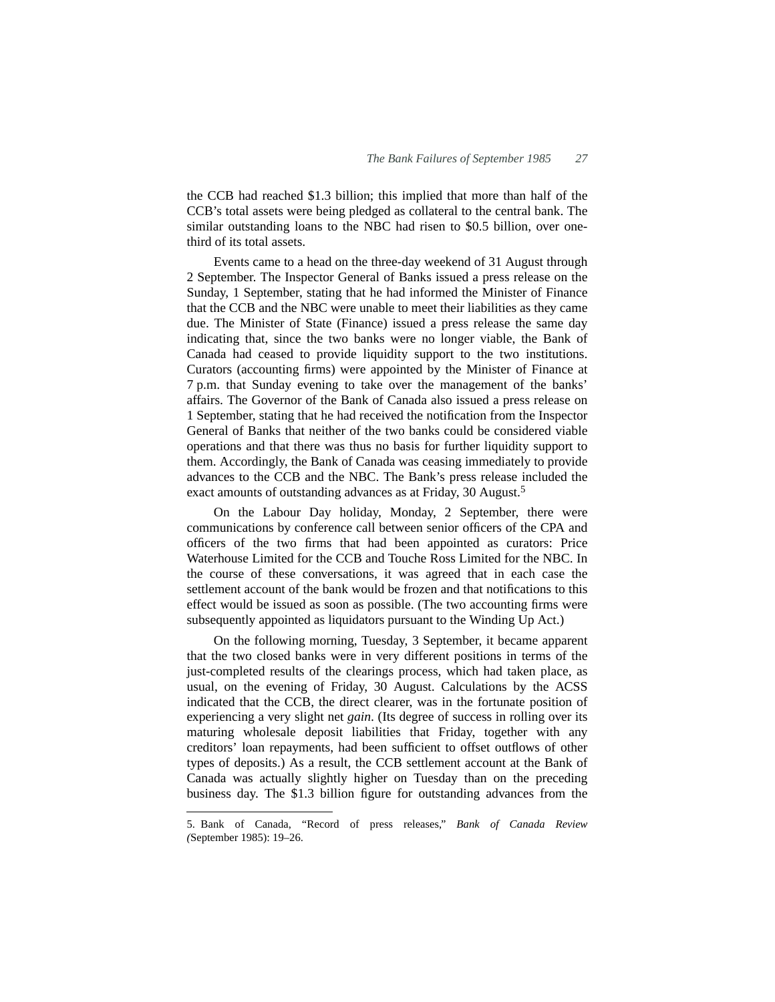the CCB had reached \$1.3 billion; this implied that more than half of the CCB's total assets were being pledged as collateral to the central bank. The similar outstanding loans to the NBC had risen to \$0.5 billion, over onethird of its total assets.

Events came to a head on the three-day weekend of 31 August through 2 September. The Inspector General of Banks issued a press release on the Sunday, 1 September, stating that he had informed the Minister of Finance that the CCB and the NBC were unable to meet their liabilities as they came due. The Minister of State (Finance) issued a press release the same day indicating that, since the two banks were no longer viable, the Bank of Canada had ceased to provide liquidity support to the two institutions. Curators (accounting firms) were appointed by the Minister of Finance at 7 p.m. that Sunday evening to take over the management of the banks' affairs. The Governor of the Bank of Canada also issued a press release on 1 September, stating that he had received the notification from the Inspector General of Banks that neither of the two banks could be considered viable operations and that there was thus no basis for further liquidity support to them. Accordingly, the Bank of Canada was ceasing immediately to provide advances to the CCB and the NBC. The Bank's press release included the exact amounts of outstanding advances as at Friday, 30 August.<sup>5</sup>

On the Labour Day holiday, Monday, 2 September, there were communications by conference call between senior officers of the CPA and officers of the two firms that had been appointed as curators: Price Waterhouse Limited for the CCB and Touche Ross Limited for the NBC. In the course of these conversations, it was agreed that in each case the settlement account of the bank would be frozen and that notifications to this effect would be issued as soon as possible. (The two accounting firms were subsequently appointed as liquidators pursuant to the Winding Up Act.)

On the following morning, Tuesday, 3 September, it became apparent that the two closed banks were in very different positions in terms of the just-completed results of the clearings process, which had taken place, as usual, on the evening of Friday, 30 August. Calculations by the ACSS indicated that the CCB, the direct clearer, was in the fortunate position of experiencing a very slight net *gain*. (Its degree of success in rolling over its maturing wholesale deposit liabilities that Friday, together with any creditors' loan repayments, had been sufficient to offset outflows of other types of deposits.) As a result, the CCB settlement account at the Bank of Canada was actually slightly higher on Tuesday than on the preceding business day. The \$1.3 billion figure for outstanding advances from the

<sup>5.</sup> Bank of Canada, "Record of press releases," *Bank of Canada Review (*September 1985): 19–26.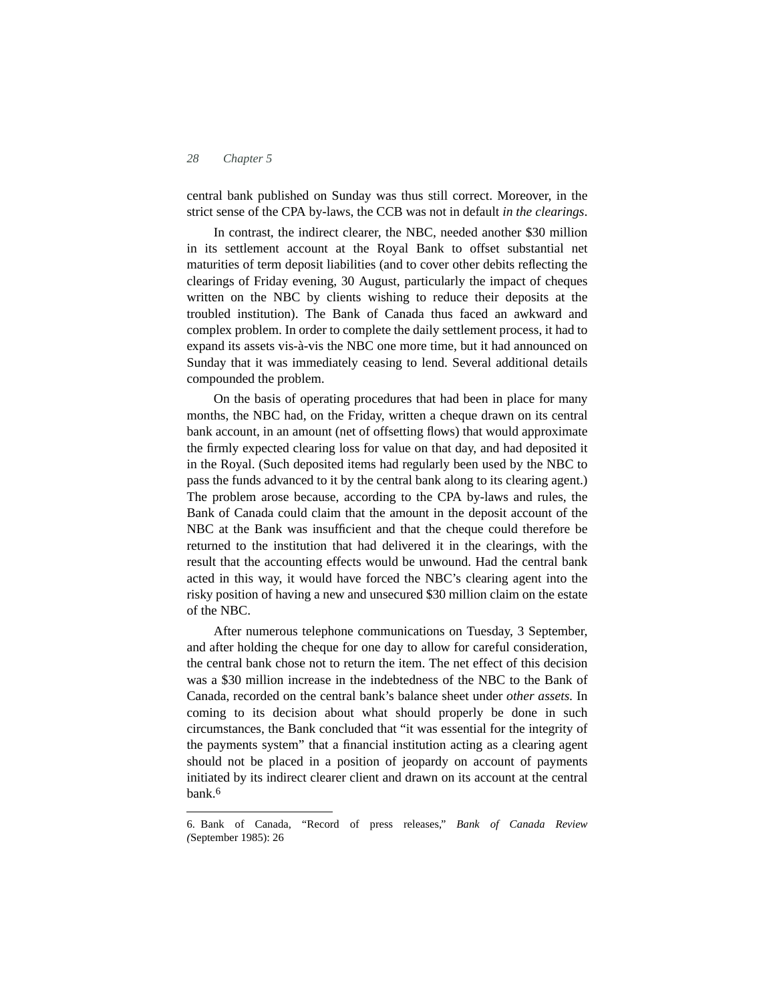central bank published on Sunday was thus still correct. Moreover, in the strict sense of the CPA by-laws, the CCB was not in default *in the clearings*.

In contrast, the indirect clearer, the NBC, needed another \$30 million in its settlement account at the Royal Bank to offset substantial net maturities of term deposit liabilities (and to cover other debits reflecting the clearings of Friday evening, 30 August, particularly the impact of cheques written on the NBC by clients wishing to reduce their deposits at the troubled institution). The Bank of Canada thus faced an awkward and complex problem. In order to complete the daily settlement process, it had to expand its assets vis-à-vis the NBC one more time, but it had announced on Sunday that it was immediately ceasing to lend. Several additional details compounded the problem.

On the basis of operating procedures that had been in place for many months, the NBC had, on the Friday, written a cheque drawn on its central bank account, in an amount (net of offsetting flows) that would approximate the firmly expected clearing loss for value on that day, and had deposited it in the Royal. (Such deposited items had regularly been used by the NBC to pass the funds advanced to it by the central bank along to its clearing agent.) The problem arose because, according to the CPA by-laws and rules, the Bank of Canada could claim that the amount in the deposit account of the NBC at the Bank was insufficient and that the cheque could therefore be returned to the institution that had delivered it in the clearings, with the result that the accounting effects would be unwound. Had the central bank acted in this way, it would have forced the NBC's clearing agent into the risky position of having a new and unsecured \$30 million claim on the estate of the NBC.

After numerous telephone communications on Tuesday, 3 September, and after holding the cheque for one day to allow for careful consideration, the central bank chose not to return the item. The net effect of this decision was a \$30 million increase in the indebtedness of the NBC to the Bank of Canada, recorded on the central bank's balance sheet under *other assets.* In coming to its decision about what should properly be done in such circumstances, the Bank concluded that "it was essential for the integrity of the payments system" that a financial institution acting as a clearing agent should not be placed in a position of jeopardy on account of payments initiated by its indirect clearer client and drawn on its account at the central bank.6

<sup>6.</sup> Bank of Canada, "Record of press releases," *Bank of Canada Review (*September 1985): 26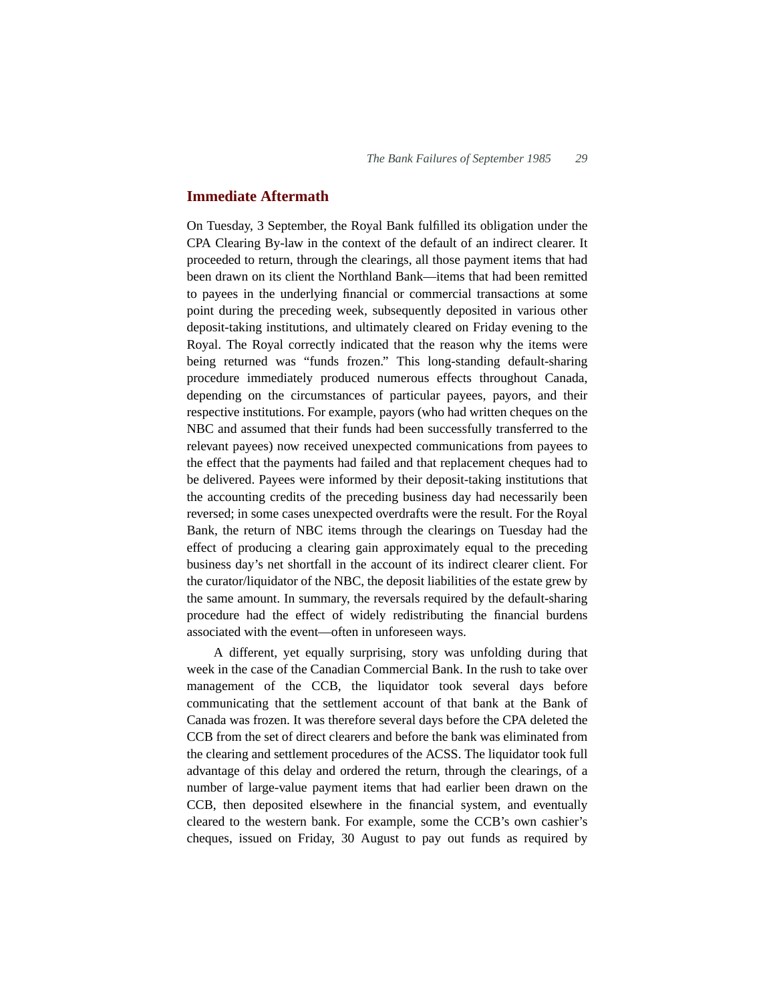#### **Immediate Aftermath**

On Tuesday, 3 September, the Royal Bank fulfilled its obligation under the CPA Clearing By-law in the context of the default of an indirect clearer. It proceeded to return, through the clearings, all those payment items that had been drawn on its client the Northland Bank—items that had been remitted to payees in the underlying financial or commercial transactions at some point during the preceding week, subsequently deposited in various other deposit-taking institutions, and ultimately cleared on Friday evening to the Royal. The Royal correctly indicated that the reason why the items were being returned was "funds frozen." This long-standing default-sharing procedure immediately produced numerous effects throughout Canada, depending on the circumstances of particular payees, payors, and their respective institutions. For example, payors (who had written cheques on the NBC and assumed that their funds had been successfully transferred to the relevant payees) now received unexpected communications from payees to the effect that the payments had failed and that replacement cheques had to be delivered. Payees were informed by their deposit-taking institutions that the accounting credits of the preceding business day had necessarily been reversed; in some cases unexpected overdrafts were the result. For the Royal Bank, the return of NBC items through the clearings on Tuesday had the effect of producing a clearing gain approximately equal to the preceding business day's net shortfall in the account of its indirect clearer client. For the curator/liquidator of the NBC, the deposit liabilities of the estate grew by the same amount. In summary, the reversals required by the default-sharing procedure had the effect of widely redistributing the financial burdens associated with the event—often in unforeseen ways.

A different, yet equally surprising, story was unfolding during that week in the case of the Canadian Commercial Bank. In the rush to take over management of the CCB, the liquidator took several days before communicating that the settlement account of that bank at the Bank of Canada was frozen. It was therefore several days before the CPA deleted the CCB from the set of direct clearers and before the bank was eliminated from the clearing and settlement procedures of the ACSS. The liquidator took full advantage of this delay and ordered the return, through the clearings, of a number of large-value payment items that had earlier been drawn on the CCB, then deposited elsewhere in the financial system, and eventually cleared to the western bank. For example, some the CCB's own cashier's cheques, issued on Friday, 30 August to pay out funds as required by